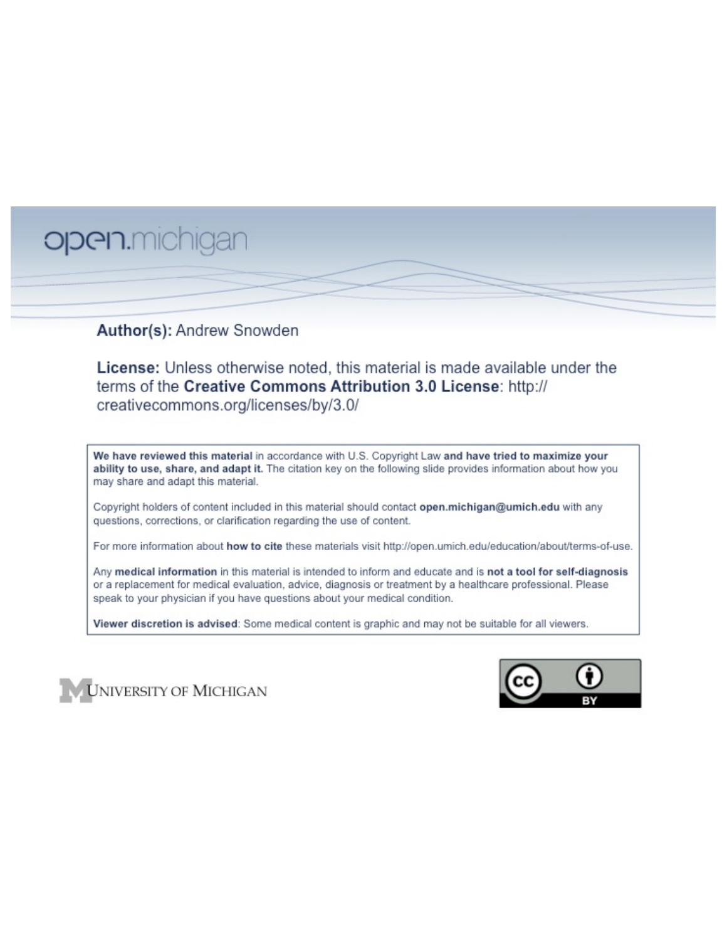# open.michigan

## Author(s): Andrew Snowden

License: Unless otherwise noted, this material is made available under the terms of the Creative Commons Attribution 3.0 License: http:// creativecommons.org/licenses/by/3.0/

We have reviewed this material in accordance with U.S. Copyright Law and have tried to maximize your ability to use, share, and adapt it. The citation key on the following slide provides information about how you may share and adapt this material.

Copyright holders of content included in this material should contact open.michigan@umich.edu with any questions, corrections, or clarification regarding the use of content.

For more information about how to cite these materials visit http://open.umich.edu/education/about/terms-of-use.

Any medical information in this material is intended to inform and educate and is not a tool for self-diagnosis or a replacement for medical evaluation, advice, diagnosis or treatment by a healthcare professional. Please speak to your physician if you have questions about your medical condition.

Viewer discretion is advised: Some medical content is graphic and may not be suitable for all viewers.



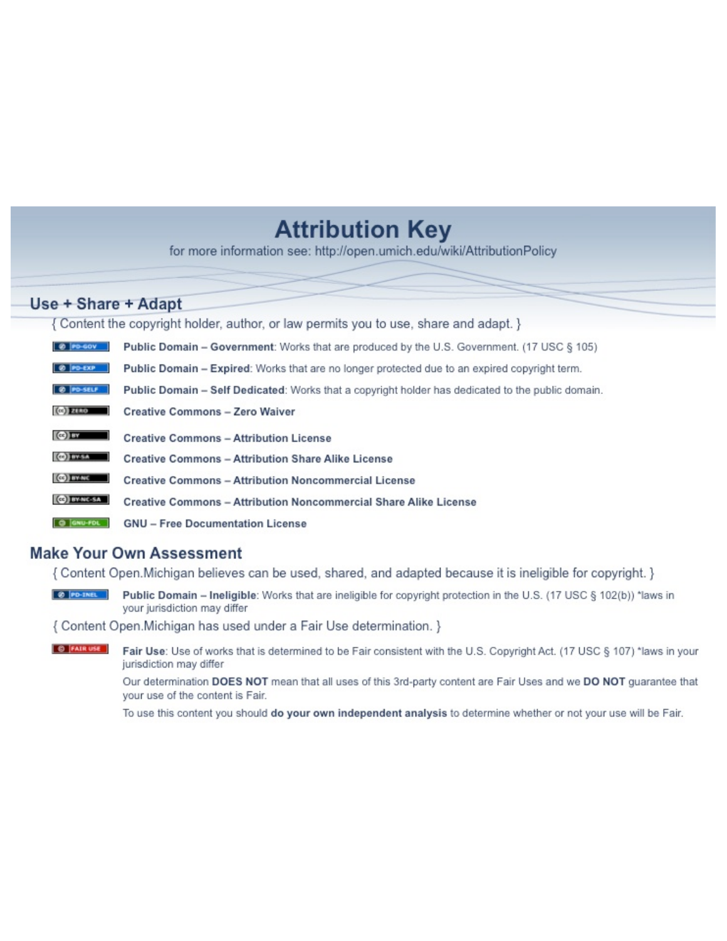# **Attribution Key**

for more information see: http://open.umich.edu/wiki/AttributionPolicy

# Use + Share + Adapt

{ Content the copyright holder, author, or law permits you to use, share and adapt. }

| @ PD-GOV                  | <b>Public Domain - Government:</b> Works that are produced by the U.S. Government. (17 USC § 105) |
|---------------------------|---------------------------------------------------------------------------------------------------|
| @ PD-EXP                  | Public Domain - Expired: Works that are no longer protected due to an expired copyright term.     |
| @ PO-SELF                 | Public Domain - Self Dedicated: Works that a copyright holder has dedicated to the public domain. |
| $(c2)$ 21110              | <b>Creative Commons - Zero Waiver</b>                                                             |
| $\left($ ce) $\right)$ my | <b>Creative Commons - Attribution License</b>                                                     |
| <b>CO</b> ITY-SA          | <b>Creative Commons - Attribution Share Alike License</b>                                         |
| <b>CO</b> BY-NC           | <b>Creative Commons - Attribution Noncommercial License</b>                                       |
| <b>CO</b> BY-NC-SA        | Creative Commons - Attribution Noncommercial Share Alike License                                  |
| GNU-FOL                   | <b>GNU - Free Documentation License</b>                                                           |

### **Make Your Own Assessment**

{ Content Open. Michigan believes can be used, shared, and adapted because it is ineligible for copyright. }

Public Domain - Ineligible: Works that are ineligible for copyright protection in the U.S. (17 USC § 102(b)) \*laws in your jurisdiction may differ

{ Content Open. Michigan has used under a Fair Use determination. }

**O** FAIR USE Fair Use: Use of works that is determined to be Fair consistent with the U.S. Copyright Act. (17 USC § 107) \*laws in your jurisdiction may differ

> Our determination DOES NOT mean that all uses of this 3rd-party content are Fair Uses and we DO NOT guarantee that your use of the content is Fair.

To use this content you should do your own independent analysis to determine whether or not your use will be Fair.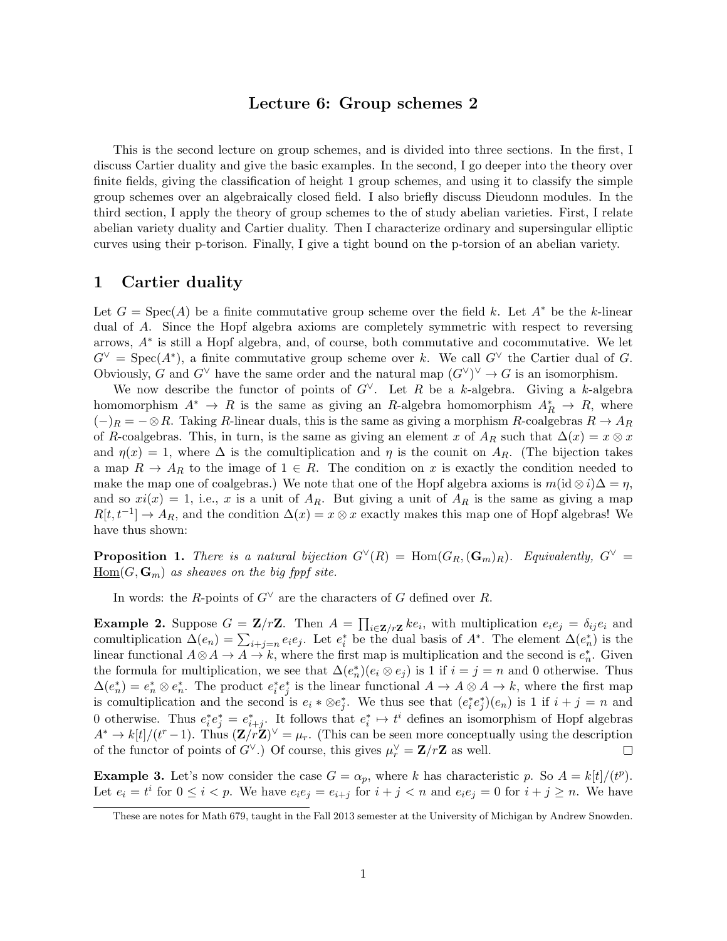#### Lecture 6: Group schemes 2

This is the second lecture on group schemes, and is divided into three sections. In the first, I discuss Cartier duality and give the basic examples. In the second, I go deeper into the theory over finite fields, giving the classification of height 1 group schemes, and using it to classify the simple group schemes over an algebraically closed field. I also briefly discuss Dieudonn modules. In the third section, I apply the theory of group schemes to the of study abelian varieties. First, I relate abelian variety duality and Cartier duality. Then I characterize ordinary and supersingular elliptic curves using their p-torison. Finally, I give a tight bound on the p-torsion of an abelian variety.

#### 1 Cartier duality

Let  $G = \text{Spec}(A)$  be a finite commutative group scheme over the field k. Let  $A^*$  be the k-linear dual of *A*. Since the Hopf algebra axioms are completely symmetric with respect to reversing arrows, *A*⇤ is still a Hopf algebra, and, of course, both commutative and cocommutative. We let  $G^{\vee}$  = Spec( $A^*$ ), a finite commutative group scheme over *k*. We call  $G^{\vee}$  the Cartier dual of *G*. Obviously, *G* and  $G^{\vee}$  have the same order and the natural map  $(G^{\vee})^{\vee} \to G$  is an isomorphism.

We now describe the functor of points of  $G^{\vee}$ . Let *R* be a *k*-algebra. Giving a *k*-algebra homomorphism  $A^* \to R$  is the same as giving an *R*-algebra homomorphism  $A_R^* \to R$ , where  $(-)$ <sup>*R*</sup> =  $-\otimes R$ . Taking *R*-linear duals, this is the same as giving a morphism *R*-coalgebras  $R \to A_R$ of *R*-coalgebras. This, in turn, is the same as giving an element *x* of  $A_R$  such that  $\Delta(x) = x \otimes x$ and  $\eta(x) = 1$ , where  $\Delta$  is the comultiplication and  $\eta$  is the counit on  $A_R$ . (The bijection takes a map  $R \to A_R$  to the image of  $1 \in R$ . The condition on *x* is exactly the condition needed to make the map one of coalgebras.) We note that one of the Hopf algebra axioms is  $m(\mathrm{id} \otimes i)\Delta = \eta$ , and so  $xi(x) = 1$ , i.e., x is a unit of  $A_R$ . But giving a unit of  $A_R$  is the same as giving a map  $R[t, t^{-1}] \rightarrow A_R$ , and the condition  $\Delta(x) = x \otimes x$  exactly makes this map one of Hopf algebras! We have thus shown:

**Proposition 1.** There is a natural bijection  $G^{\vee}(R) = \text{Hom}(G_R, (\mathbf{G}_m)_R)$ . Equivalently,  $G^{\vee}$  $\underline{\mathrm{Hom}}(G,\mathbf{G}_m)$  *as sheaves on the big fppf site.* 

In words: the *R*-points of  $G^{\vee}$  are the characters of *G* defined over *R*.

**Example 2.** Suppose  $G = \mathbf{Z}/r\mathbf{Z}$ . Then  $A = \prod_{i \in \mathbf{Z}/r\mathbf{Z}} ke_i$ , with multiplication  $e_i e_j = \delta_{ij} e_i$  and comultiplication  $\Delta(e_n) = \sum_{i+j=n} e_i e_j$ . Let  $e_i^*$  be the dual basis of  $A^*$ . The element  $\Delta(e_n^*)$  is the linear functional  $A \otimes A \to A \to k$ , where the first map is multiplication and the second is  $e_n^*$ . Given the formula for multiplication, we see that  $\Delta(e_n^*)(e_i \otimes e_j)$  is 1 if  $i = j = n$  and 0 otherwise. Thus  $\Delta(e_n^*) = e_n^* \otimes e_n^*$ . The product  $e_i^* e_j^*$  is the linear functional  $A \to A \otimes A \to k$ , where the first map is comultiplication and the second is  $e_i * \otimes e_j^*$ . We thus see that  $(e_i^* e_j^*)(e_n)$  is 1 if  $i + j = n$  and 0 otherwise. Thus  $e_i^* e_j^* = e_{i+j}^*$ . It follows that  $e_i^* \mapsto t^i$  defines an isomorphism of Hopf algebras  $A^* \to k[t]/(t^r-1)$ . Thus  $(\mathbf{Z}/r\mathbf{Z})^{\vee} = \mu_r$ . (This can be seen more conceptually using the description of the functor of points of  $G^{\vee}$ .) Of course, this gives  $\mu_r^{\vee} = \mathbf{Z}/r\mathbf{Z}$  as well.

**Example 3.** Let's now consider the case  $G = \alpha_p$ , where *k* has characteristic *p*. So  $A = k[t]/(t^p)$ . Let  $e_i = t^i$  for  $0 \leq i < p$ . We have  $e_i e_j = e_{i+j}$  for  $i + j < n$  and  $e_i e_j = 0$  for  $i + j \geq n$ . We have

These are notes for Math 679, taught in the Fall 2013 semester at the University of Michigan by Andrew Snowden.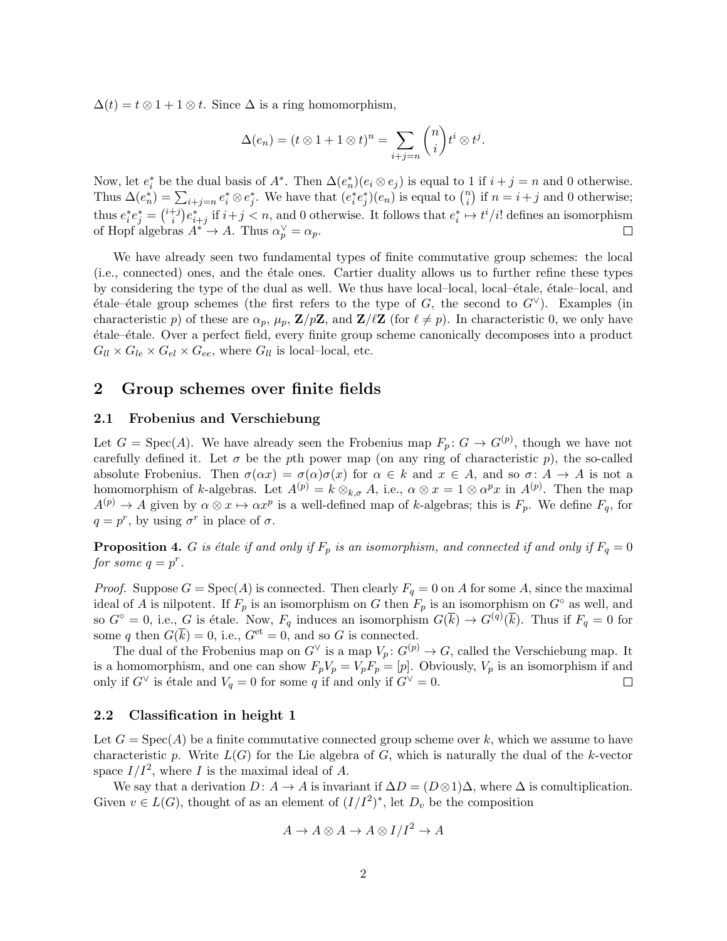$\Delta(t) = t \otimes 1 + 1 \otimes t$ . Since  $\Delta$  is a ring homomorphism,

$$
\Delta(e_n) = (t \otimes 1 + 1 \otimes t)^n = \sum_{i+j=n} {n \choose i} t^i \otimes t^j.
$$

Now, let  $e_i^*$  be the dual basis of  $A^*$ . Then  $\Delta(e_n^*)(e_i \otimes e_j)$  is equal to 1 if  $i + j = n$  and 0 otherwise. Thus  $\Delta(e_n^*) = \sum_{i+j=n} e_i^* \otimes e_j^*$ . We have that  $(e_i^* e_j^*)(e_n)$  is equal to  $\binom{n}{i}$  if  $n = i+j$  and 0 otherwise; thus  $e_i^* e_j^* = {i+j \choose i} e_{i+j}^*$  if  $i+j < n$ , and 0 otherwise. It follows that  $e_i^* \mapsto t^i/i!$  defines an isomorphism of Hopf algebras  $A^* \to A$ . Thus  $\alpha_p^{\vee} = \alpha_p$ .  $\Box$ 

We have already seen two fundamental types of finite commutative group schemes: the local (i.e., connected) ones, and the ´etale ones. Cartier duality allows us to further refine these types by considering the type of the dual as well. We thus have local–local, local– $\acute{e}t$ ale,  $\acute{e}t$ ale–local, and  $\ell$ tale– $\ell$ tale group schemes (the first refers to the type of *G*, the second to  $G^{\vee}$ ). Examples (in characteristic *p*) of these are  $\alpha_p$ ,  $\mu_p$ ,  $\mathbf{Z}/p\mathbf{Z}$ , and  $\mathbf{Z}/\ell\mathbf{Z}$  (for  $\ell \neq p$ ). In characteristic 0, we only have ´etale–´etale. Over a perfect field, every finite group scheme canonically decomposes into a product  $G_{ll} \times G_{le} \times G_{el} \times G_{ee}$ , where  $G_{ll}$  is local–local, etc.

#### 2 Group schemes over finite fields

#### 2.1 Frobenius and Verschiebung

Let  $G = \text{Spec}(A)$ . We have already seen the Frobenius map  $F_p: G \to G^{(p)}$ , though we have not carefully defined it. Let  $\sigma$  be the *p*th power map (on any ring of characteristic  $p$ ), the so-called absolute Frobenius. Then  $\sigma(\alpha x) = \sigma(\alpha)\sigma(x)$  for  $\alpha \in k$  and  $x \in A$ , and so  $\sigma: A \to A$  is not a homomorphism of *k*-algebras. Let  $A^{(p)} = k \otimes_{k,\sigma} A$ , i.e.,  $\alpha \otimes x = 1 \otimes \alpha^p x$  in  $A^{(p)}$ . Then the map  $A^{(p)} \to A$  given by  $\alpha \otimes x \mapsto \alpha x^p$  is a well-defined map of *k*-algebras; this is  $F_p$ . We define  $F_q$ , for  $q = p^r$ , by using  $\sigma^r$  in place of  $\sigma$ .

**Proposition 4.** *G is étale if and only if*  $F_p$  *is an isomorphism, and connected if and only if*  $F_q = 0$ *for some*  $q = p^r$ *.* 

*Proof.* Suppose  $G = \text{Spec}(A)$  is connected. Then clearly  $F_q = 0$  on *A* for some *A*, since the maximal ideal of *A* is nilpotent. If  $F_p$  is an isomorphism on *G* then  $F_p$  is an isomorphism on  $G^{\circ}$  as well, and so  $G^{\circ} = 0$ , i.e.,  $G$  is étale. Now,  $F_q$  induces an isomorphism  $G(\overline{k}) \to G^{(q)}(\overline{k})$ . Thus if  $F_q = 0$  for some *q* then  $G(\overline{k}) = 0$ , i.e.,  $G^{\text{et}} = 0$ , and so *G* is connected.

The dual of the Frobenius map on  $G^{\vee}$  is a map  $V_p: G^{(p)} \to G$ , called the Verschiebung map. It is a homomorphism, and one can show  $F_pV_p = V_pF_p = [p]$ . Obviously,  $V_p$  is an isomorphism if and only if  $G^{\vee}$  is étale and  $V_q = 0$  for some *q* if and only if  $G^{\vee} = 0$ .  $\Box$ 

#### 2.2 Classification in height 1

Let  $G = Spec(A)$  be a finite commutative connected group scheme over k, which we assume to have characteristic p. Write  $L(G)$  for the Lie algebra of  $G$ , which is naturally the dual of the  $k$ -vector space  $I/I^2$ , where *I* is the maximal ideal of *A*.

We say that a derivation  $D: A \to A$  is invariant if  $\Delta D = (D \otimes 1)\Delta$ , where  $\Delta$  is comultiplication. Given  $v \in L(G)$ , thought of as an element of  $(I/I^2)^*$ , let  $D_v$  be the composition

$$
A \to A \otimes A \to A \otimes I/I^2 \to A
$$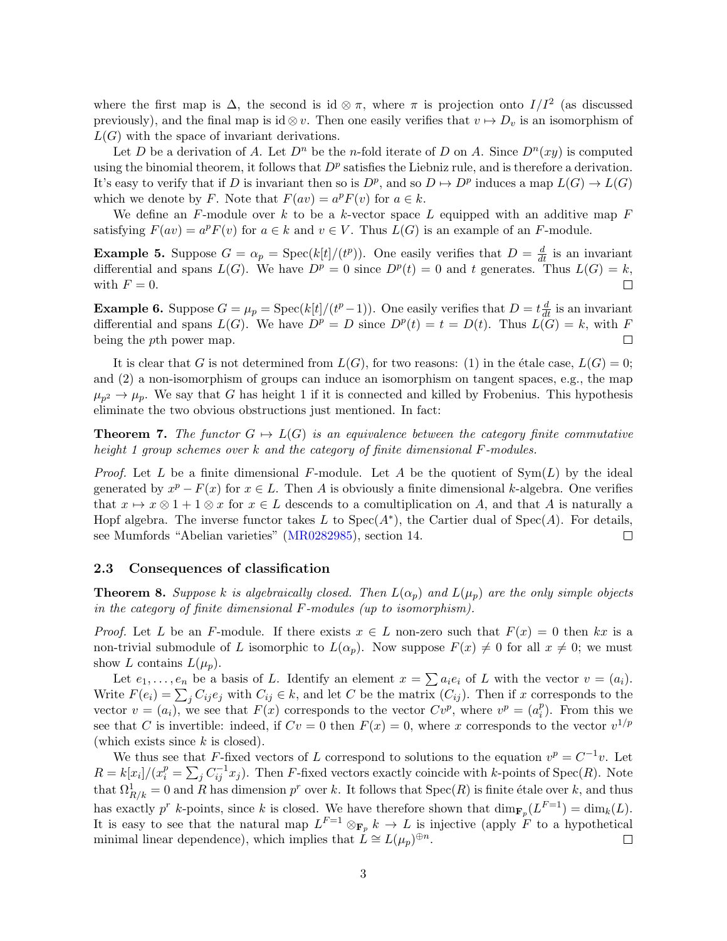where the first map is  $\Delta$ , the second is id  $\otimes \pi$ , where  $\pi$  is projection onto  $I/I^2$  (as discussed previously), and the final map is id  $\otimes v$ . Then one easily verifies that  $v \mapsto D_v$  is an isomorphism of  $L(G)$  with the space of invariant derivations.

Let *D* be a derivation of *A*. Let  $D^n$  be the *n*-fold iterate of *D* on *A*. Since  $D^n(xy)$  is computed using the binomial theorem, it follows that  $D^p$  satisfies the Liebniz rule, and is therefore a derivation. It's easy to verify that if *D* is invariant then so is  $D^p$ , and so  $D \mapsto D^p$  induces a map  $L(G) \to L(G)$ which we denote by *F*. Note that  $F(av) = a^p F(v)$  for  $a \in k$ .

We define an *F*-module over *k* to be a *k*-vector space *L* equipped with an additive map *F* satisfying  $F(av) = a^p F(v)$  for  $a \in k$  and  $v \in V$ . Thus  $L(G)$  is an example of an *F*-module.

**Example 5.** Suppose  $G = \alpha_p = \text{Spec}(k[t]/(t^p))$ . One easily verifies that  $D = \frac{d}{dt}$  is an invariant differential and spans  $L(G)$ . We have  $D^p = 0$  since  $D^p(t) = 0$  and t generates. Thus  $L(G) = k$ , with  $F=0$ .  $\Box$ 

**Example 6.** Suppose  $G = \mu_p = \text{Spec}(k[t]/(t^p-1))$ . One easily verifies that  $D = t \frac{d}{dt}$  is an invariant differential and spans  $L(G)$ . We have  $D^p = D$  since  $D^p(t) = t = D(t)$ . Thus  $L(G) = k$ , with *F* being the *p*th power map.  $\Box$ 

It is clear that *G* is not determined from  $L(G)$ , for two reasons: (1) in the étale case,  $L(G) = 0$ ; and (2) a non-isomorphism of groups can induce an isomorphism on tangent spaces, e.g., the map  $\mu_{p^2} \to \mu_p$ . We say that *G* has height 1 if it is connected and killed by Frobenius. This hypothesis eliminate the two obvious obstructions just mentioned. In fact:

**Theorem 7.** The functor  $G \mapsto L(G)$  is an equivalence between the category finite commutative *height 1 group schemes over k and the category of finite dimensional F-modules.*

*Proof.* Let *L* be a finite dimensional *F*-module. Let *A* be the quotient of Sym(*L*) by the ideal generated by  $x^p - F(x)$  for  $x \in L$ . Then *A* is obviously a finite dimensional *k*-algebra. One verifies that  $x \mapsto x \otimes 1 + 1 \otimes x$  for  $x \in L$  descends to a comultiplication on *A*, and that *A* is naturally a Hopf algebra. The inverse functor takes L to  $Spec(A^*)$ , the Cartier dual of  $Spec(A)$ . For details, see Mumfords "Abelian varieties" (MR0282985), section 14.  $\Box$ 

#### 2.3 Consequences of classification

**Theorem 8.** Suppose *k* is algebraically closed. Then  $L(\alpha_p)$  and  $L(\mu_p)$  are the only simple objects *in the category of finite dimensional F-modules (up to isomorphism).*

*Proof.* Let L be an F-module. If there exists  $x \in L$  non-zero such that  $F(x) = 0$  then  $kx$  is a non-trivial submodule of *L* isomorphic to  $L(\alpha_p)$ . Now suppose  $F(x) \neq 0$  for all  $x \neq 0$ ; we must show *L* contains  $L(\mu_n)$ .

Let  $e_1, \ldots, e_n$  be a basis of *L*. Identify an element  $x = \sum a_i e_i$  of *L* with the vector  $v = (a_i)$ . Write  $F(e_i) = \sum_j C_{ij}e_j$  with  $C_{ij} \in k$ , and let *C* be the matrix  $(C_{ij})$ . Then if *x* corresponds to the vector  $v = (a_i)$ , we see that  $F(x)$  corresponds to the vector  $Cv^p$ , where  $v^p = (a_i^p)$ . From this we see that *C* is invertible: indeed, if  $Cv = 0$  then  $F(x) = 0$ , where *x* corresponds to the vector  $v^{1/p}$ (which exists since *k* is closed).

We thus see that *F*-fixed vectors of *L* correspond to solutions to the equation  $v^p = C^{-1}v$ . Let  $R = k[x_i]/(x_i^p = \sum_j C_{ij}^{-1}x_j)$ . Then *F*-fixed vectors exactly coincide with *k*-points of Spec(*R*). Note that  $\Omega^1_{R/k} = 0$  and *R* has dimension  $p^r$  over *k*. It follows that  $Spec(R)$  is finite étale over *k*, and thus has exactly  $p^r$  *k*-points, since *k* is closed. We have therefore shown that  $\dim_{\mathbf{F}_p}(L^{F=1}) = \dim_k(L)$ . It is easy to see that the natural map  $L^{F=1} \otimes_{\mathbf{F}_p} k \to L$  is injective (apply  $\overline{F}$  to a hypothetical minimal linear dependence), which implies that  $\dot{L} \cong L(\mu_p)^{\oplus n}$ .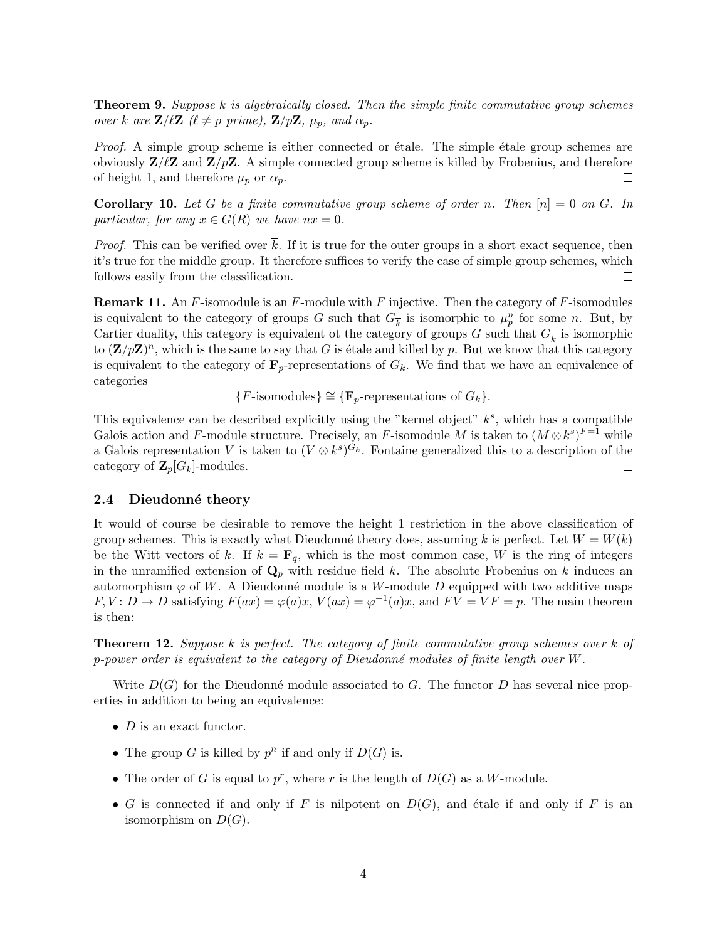Theorem 9. *Suppose k is algebraically closed. Then the simple finite commutative group schemes over k* are  $\mathbf{Z}/\ell\mathbf{Z}$  ( $\ell \neq p$  prime),  $\mathbf{Z}/p\mathbf{Z}$ ,  $\mu_p$ , and  $\alpha_p$ .

*Proof.* A simple group scheme is either connected or étale. The simple étale group schemes are obviously  $\mathbf{Z}/\ell\mathbf{Z}$  and  $\mathbf{Z}/p\mathbf{Z}$ . A simple connected group scheme is killed by Frobenius, and therefore of height 1, and therefore  $\mu_p$  or  $\alpha_p$ .  $\Box$ 

**Corollary 10.** Let G be a finite commutative group scheme of order *n*. Then  $[n] = 0$  on G. In *particular, for any*  $x \in G(R)$  *we have*  $nx = 0$ *.* 

*Proof.* This can be verified over  $\overline{k}$ . If it is true for the outer groups in a short exact sequence, then it's true for the middle group. It therefore suffices to verify the case of simple group schemes, which follows easily from the classification.  $\Box$ 

Remark 11. An *F*-isomodule is an *F*-module with *F* injective. Then the category of *F*-isomodules is equivalent to the category of groups *G* such that  $G_{\overline{k}}$  is isomorphic to  $\mu_p^n$  for some *n*. But, by Cartier duality, this category is equivalent ot the category of groups *G* such that  $G_{\overline{k}}$  is isomorphic to  $(\mathbf{Z}/p\mathbf{Z})^n$ , which is the same to say that *G* is étale and killed by *p*. But we know that this category is equivalent to the category of  $\mathbf{F}_p$ -representations of  $G_k$ . We find that we have an equivalence of categories

 ${F\text{-isomodules}} \cong {F_p\text{-representations of } G_k}.$ 

This equivalence can be described explicitly using the "kernel object" *ks*, which has a compatible Galois action and *F*-module structure. Precisely, an *F*-isomodule *M* is taken to  $(M \otimes k^s)^{F=1}$  while a Galois representation *V* is taken to  $(V \otimes k^s)^{G_k}$ . Fontaine generalized this to a description of the category of  $\mathbb{Z}_p[G_k]$ -modules. category of  $\mathbf{Z}_p[G_k]$ -modules.

#### 2.4 Dieudonné theory

It would of course be desirable to remove the height 1 restriction in the above classification of group schemes. This is exactly what Dieudonné theory does, assuming *k* is perfect. Let  $W = W(k)$ be the Witt vectors of k. If  $k = \mathbf{F}_q$ , which is the most common case, W is the ring of integers in the unramified extension of  $\mathbf{Q}_p$  with residue field *k*. The absolute Frobenius on *k* induces an automorphism  $\varphi$  of W. A Dieudonné module is a W-module D equipped with two additive maps  $F, V: D \to D$  satisfying  $F(ax) = \varphi(a)x, V(ax) = \varphi^{-1}(a)x$ , and  $FV = VF = p$ . The main theorem is then:

Theorem 12. *Suppose k is perfect. The category of finite commutative group schemes over k of p-power order is equivalent to the category of Dieudonn´e modules of finite length over W.*

Write  $D(G)$  for the Dieudonné module associated to *G*. The functor *D* has several nice properties in addition to being an equivalence:

- *• D* is an exact functor.
- The group *G* is killed by  $p^n$  if and only if  $D(G)$  is.
- The order of *G* is equal to  $p^r$ , where *r* is the length of  $D(G)$  as a *W*-module.
- *G* is connected if and only if *F* is nilpotent on  $D(G)$ , and étale if and only if *F* is an isomorphism on  $D(G)$ .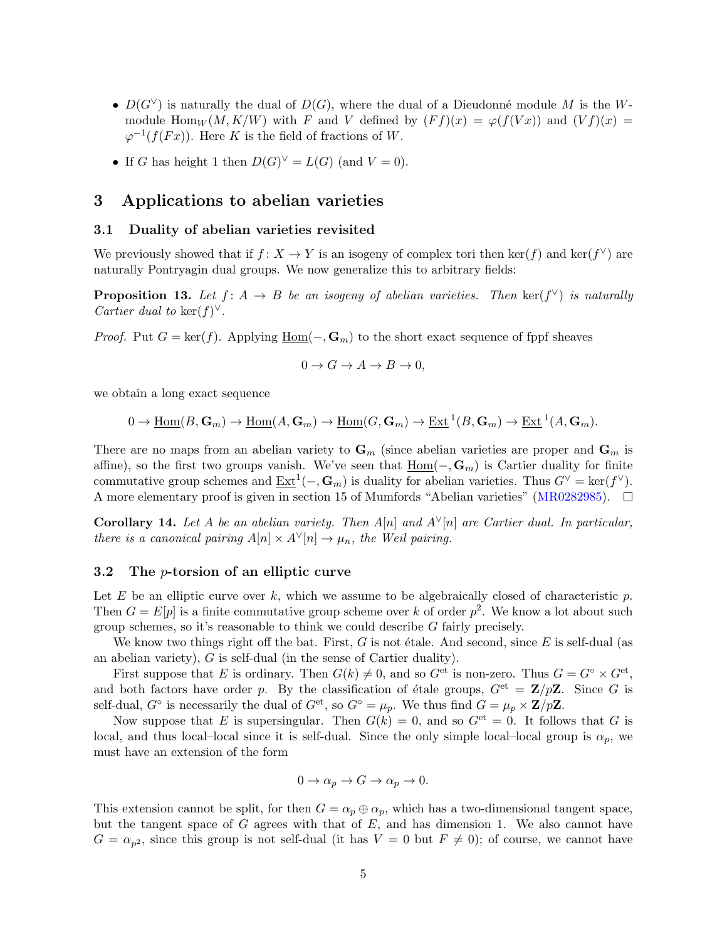- $D(G^{\vee})$  is naturally the dual of  $D(G)$ , where the dual of a Dieudonné module *M* is the *W*module Hom<sub>*W*</sub>  $(M, K/W)$  with *F* and *V* defined by  $(Ff)(x) = \varphi(f(Vx))$  and  $(Vf)(x) =$  $\varphi^{-1}(f(Fx))$ . Here *K* is the field of fractions of *W*.
- If *G* has height 1 then  $D(G)^{\vee} = L(G)$  (and  $V = 0$ ).

#### 3 Applications to abelian varieties

#### 3.1 Duality of abelian varieties revisited

We previously showed that if  $f: X \to Y$  is an isogeny of complex tori then ker(*f*) and ker( $f^{\vee}$ ) are naturally Pontryagin dual groups. We now generalize this to arbitrary fields:

**Proposition 13.** Let  $f: A \rightarrow B$  be an isogeny of abelian varieties. Then ker( $f^{\vee}$ ) is naturally *Cartier dual to* ker $(f)^{\vee}$ .

*Proof.* Put  $G = \ker(f)$ . Applying  $\underline{Hom}(-, \mathbb{G}_m)$  to the short exact sequence of fppf sheaves

$$
0 \to G \to A \to B \to 0,
$$

we obtain a long exact sequence

$$
0 \to \underline{\mathrm{Hom}}(B,\mathbf{G}_m) \to \underline{\mathrm{Hom}}(A,\mathbf{G}_m) \to \underline{\mathrm{Hom}}(G,\mathbf{G}_m) \to \underline{\mathrm{Ext}}^1(B,\mathbf{G}_m) \to \underline{\mathrm{Ext}}^1(A,\mathbf{G}_m).
$$

There are no maps from an abelian variety to  $\mathbf{G}_m$  (since abelian varieties are proper and  $\mathbf{G}_m$  is affine), so the first two groups vanish. We've seen that  $\underline{Hom}(-, \mathbf{G}_m)$  is Cartier duality for finite commutative group schemes and  $\underline{Ext}^1(-, \mathbf{G}_m)$  is duality for abelian varieties. Thus  $G^{\vee} = \ker(f^{\vee})$ . A more elementary proof is given in section 15 of Mumfords "Abelian varieties" (MR0282985).  $\Box$ 

**Corollary 14.** Let A be an abelian variety. Then  $A[n]$  and  $A^{\vee}[n]$  are Cartier dual. In particular, *there is a canonical pairing*  $A[n] \times A^{\vee}[n] \rightarrow \mu_n$ , the Weil pairing.

#### 3.2 The *p*-torsion of an elliptic curve

Let  $E$  be an elliptic curve over  $k$ , which we assume to be algebraically closed of characteristic  $p$ . Then  $G = E[p]$  is a finite commutative group scheme over *k* of order  $p^2$ . We know a lot about such group schemes, so it's reasonable to think we could describe *G* fairly precisely.

We know two things right off the bat. First,  $G$  is not étale. And second, since  $E$  is self-dual (as an abelian variety), *G* is self-dual (in the sense of Cartier duality).

First suppose that *E* is ordinary. Then  $G(k) \neq 0$ , and so  $G^{\text{et}}$  is non-zero. Thus  $G = G^{\circ} \times G^{\text{et}}$ , and both factors have order *p*. By the classification of étale groups,  $G^{et} = \mathbb{Z}/p\mathbb{Z}$ . Since *G* is self-dual,  $G^{\circ}$  is necessarily the dual of  $G^{\text{et}}$ , so  $G^{\circ} = \mu_p$ . We thus find  $G = \mu_p \times \mathbb{Z}/p\mathbb{Z}$ .

Now suppose that *E* is supersingular. Then  $G(k) = 0$ , and so  $G<sup>et</sup> = 0$ . It follows that *G* is local, and thus local–local since it is self-dual. Since the only simple local–local group is  $\alpha_p$ , we must have an extension of the form

$$
0 \to \alpha_p \to G \to \alpha_p \to 0.
$$

This extension cannot be split, for then  $G = \alpha_p \oplus \alpha_p$ , which has a two-dimensional tangent space, but the tangent space of *G* agrees with that of *E*, and has dimension 1. We also cannot have  $G = \alpha_{p^2}$ , since this group is not self-dual (it has  $V = 0$  but  $F \neq 0$ ); of course, we cannot have